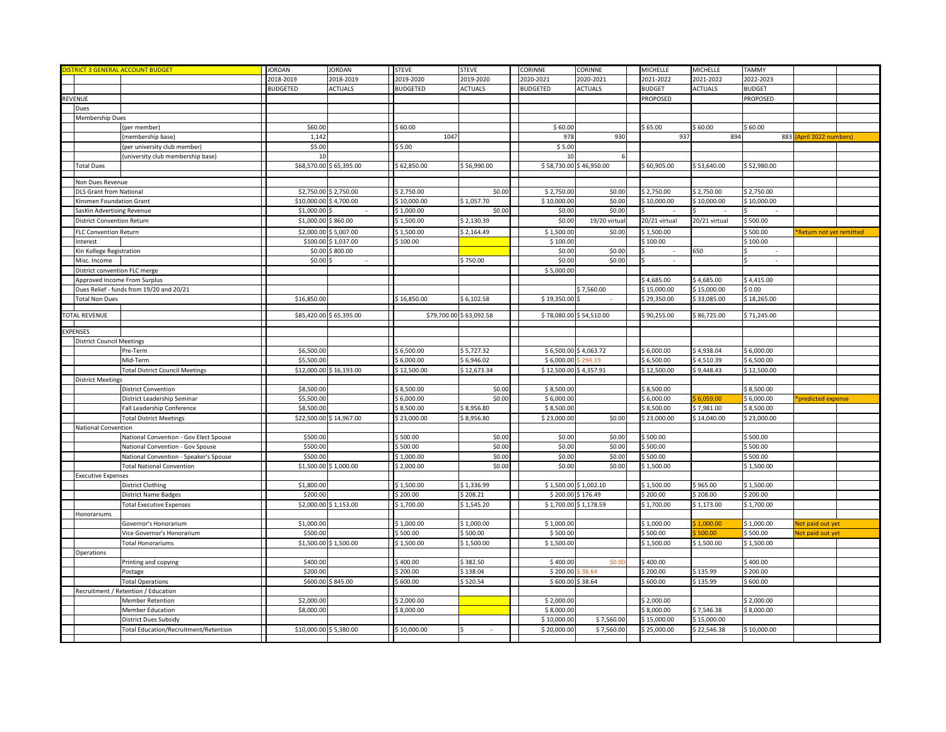| <b>ISTRICT 3 GENERAL ACCOUNT BUDGET</b> |                                          | <b>JORDAN</b>          | <b>JORDAN</b>           | <b>STEVE</b>    | <b>STEVE</b>            | CORINNE                 | CORINNE               | MICHELLE      | MICHELLE       | TAMMY         |                          |  |
|-----------------------------------------|------------------------------------------|------------------------|-------------------------|-----------------|-------------------------|-------------------------|-----------------------|---------------|----------------|---------------|--------------------------|--|
|                                         |                                          | 2018-2019              | 2018-2019               | 2019-2020       | 2019-2020               | 2020-2021               | 2020-2021             | 2021-2022     | 2021-2022      | 2022-2023     |                          |  |
|                                         |                                          | <b>BUDGETED</b>        | ACTUALS                 | <b>BUDGETED</b> | <b>ACTUALS</b>          | <b>BUDGETED</b>         | <b>ACTUALS</b>        | <b>BUDGET</b> | <b>ACTUALS</b> | <b>BUDGET</b> |                          |  |
| REVENUE                                 |                                          |                        |                         |                 |                         |                         |                       | PROPOSED      |                | PROPOSED      |                          |  |
| Dues                                    |                                          |                        |                         |                 |                         |                         |                       |               |                |               |                          |  |
| Membership Dues                         |                                          |                        |                         |                 |                         |                         |                       |               |                |               |                          |  |
|                                         | (per member)                             | \$60.00                |                         | \$60.00         |                         | \$60.00                 |                       | \$65.00       | \$60.00        | 60.00         |                          |  |
|                                         | (membership base)                        | 1,142                  |                         | 1047            |                         | 978                     | 930                   | 937           | 894            |               | 883 (April 2022 numbers) |  |
|                                         |                                          | \$5.00                 |                         | \$5.00          |                         | \$5.00                  |                       |               |                |               |                          |  |
|                                         | (per university club member)             |                        |                         |                 |                         |                         |                       |               |                |               |                          |  |
|                                         | university club membership base)         | 10                     |                         |                 |                         |                         |                       |               |                |               |                          |  |
| <b>Total Dues</b>                       |                                          |                        | \$68,570.00 \$65,395.00 | \$62,850.00     | \$56,990.00             | \$58,730.00 \$46,950.00 |                       | \$60,905.00   | \$53,640.00    | \$52,980.00   |                          |  |
| Non Dues Revenue                        |                                          |                        |                         |                 |                         |                         |                       |               |                |               |                          |  |
| <b>DLS Grant from National</b>          |                                          |                        | \$2,750.00 \$2,750.00   | \$2,750.00      | \$0.00                  | \$2,750.00              | \$0.00                | 2,750.00      | \$2,750.00     | \$2,750.00    |                          |  |
|                                         |                                          |                        |                         |                 |                         |                         | \$0.00                |               | \$10,000.00    |               |                          |  |
| Kinsmen Foundation Grant                |                                          | \$10,000.00            | \$4,700.00              | \$10,000.00     | \$1,057.70              | \$10,000.00             |                       | \$10,000.00   |                | \$10,000.00   |                          |  |
| SasKin Advertising Revenue              |                                          | \$1,000.00             |                         | \$1,000.00      | \$0.00                  | \$0.00                  | \$0.00                |               |                |               |                          |  |
| District Convention Return              |                                          | \$1,000.00             | \$860.00                | \$1,500.00      | \$2,130.39              | \$0.00                  | 19/20 virtual         | 20/21 virtual | 20/21 virtual  | \$500.00      |                          |  |
| FLC Convention Return                   |                                          | \$2,000.00             | \$5,007.00              | \$1,500.00      | \$2,164.49              | \$1,500.00              | \$0.00                | \$1,500.00    |                | \$500.00      | *Return not yet remitted |  |
| Interest                                |                                          |                        | \$100.00 \$1,037.00     | \$100.00        |                         | \$100.00                |                       | \$100.00      |                | \$100.00      |                          |  |
| Kin Kollege Registration                |                                          | \$0.00                 | \$800.00                |                 |                         | \$0.00                  | \$0.00                |               | 650            |               |                          |  |
| Misc. Income                            |                                          | \$0.00                 |                         |                 | \$750.00                | \$0.00                  | \$0.00                |               |                |               |                          |  |
| District convention FLC merge           |                                          |                        |                         |                 |                         | \$5,000.00              |                       |               |                |               |                          |  |
|                                         | Approved Income From Surplus             |                        |                         |                 |                         |                         |                       | \$4,685.00    | \$4,685.00     | \$4,415.00    |                          |  |
|                                         | Dues Relief - funds from 19/20 and 20/21 |                        |                         |                 |                         |                         | 57,560.00             | \$15,000.00   | \$15,000.00    | \$ 0.00       |                          |  |
|                                         |                                          | \$16,850.00            |                         | \$16,850.00     | \$6,102.58              | \$19,350.00             |                       | 29,350.00     | \$33,085.00    | 18,265.00     |                          |  |
| <b>Total Non Dues</b>                   |                                          |                        |                         |                 |                         |                         |                       |               |                |               |                          |  |
| <b>FOTAL REVENUE</b>                    |                                          |                        | \$85,420.00 \$65,395.00 |                 | \$79,700.00 \$63,092.58 | \$78,080.00 \$54,510.00 |                       | \$90,255.00   | \$86,725.00    | \$71,245.00   |                          |  |
|                                         |                                          |                        |                         |                 |                         |                         |                       |               |                |               |                          |  |
| <b>EXPENSES</b>                         |                                          |                        |                         |                 |                         |                         |                       |               |                |               |                          |  |
| <b>District Council Meetings</b>        |                                          |                        |                         |                 |                         |                         |                       |               |                |               |                          |  |
|                                         | Pre-Term                                 | \$6,500.00             |                         | \$6,500.00      | \$5,727.32              |                         | \$6,500.00 \$4,063.72 | \$6,000.00    | \$4,938.04     | \$6,000.00    |                          |  |
|                                         | Mid-Term                                 | \$5,500.00             |                         | \$6,000.00      | \$6,946.02              | \$6,000.00              | 294.19                | \$6,500.00    | \$4,510.39     | \$6,500.00    |                          |  |
|                                         | <b>Total District Council Meetings</b>   |                        | \$12,000.00 \$16,193.00 | \$12,500.00     | \$12,673.34             | \$12,500.00 \$4,357.91  |                       | \$12,500.00   | \$9,448.43     | \$12,500.00   |                          |  |
| <b>District Meetings</b>                |                                          |                        |                         |                 |                         |                         |                       |               |                |               |                          |  |
|                                         | <b>District Convention</b>               | \$8,500.00             |                         | \$8,500.00      | \$0.00                  | \$8,500.00              |                       | \$8,500.00    |                | \$8,500.00    |                          |  |
|                                         |                                          | \$5,500.00             |                         | \$6,000.00      | \$0.00                  | \$6,000.00              |                       | \$6,000.00    | 6,059.00       | \$6,000.00    | predicted expense        |  |
|                                         | District Leadership Seminar              |                        |                         |                 |                         |                         |                       |               |                |               |                          |  |
|                                         | Fall Leadership Conference               | \$8,500.00             |                         | \$8,500.00      | \$8,956.80              | \$8,500.00              |                       | \$8,500.00    | \$7,981.00     | \$8,500.00    |                          |  |
|                                         | <b>Total District Meetings</b>           | \$22,500.00            | \$14,967.00             | \$23,000.00     | \$8,956.80              | \$23,000.00             | \$0.00                | \$23,000.00   | \$14,040.00    | \$23,000.00   |                          |  |
| National Convention                     |                                          |                        |                         |                 |                         |                         |                       |               |                |               |                          |  |
|                                         | National Convention - Gov Elect Spouse   | \$500.00               |                         | \$500.00        | \$0.00                  | \$0.00                  | \$0.00                | \$500.00      |                | 500.00        |                          |  |
|                                         | National Convention - Gov Spouse         | \$500.00               |                         | \$500.00        | \$0.00                  | \$0.00                  | \$0.00                | 500.00        |                | 500.00        |                          |  |
|                                         | National Convention - Speaker's Spouse   | \$500.00               |                         | \$1,000.00      | \$0.00                  | \$0.00                  | \$0.00                | 500.00        |                | 500.00        |                          |  |
|                                         | <b>Total National Convention</b>         |                        | \$1,500.00 \$1,000.00   | \$2,000.00      | \$0.00                  | \$0.00                  | \$0.00                | \$1,500.00    |                | \$1,500.00    |                          |  |
| <b>Executive Expenses</b>               |                                          |                        |                         |                 |                         |                         |                       |               |                |               |                          |  |
|                                         | <b>District Clothing</b>                 | \$1,800.00             |                         | \$1,500.00      | \$1,336.99              | \$1,500.00 \$1,002.10   |                       | \$1,500.00    | \$965.00       | \$1,500.00    |                          |  |
|                                         | <b>District Name Badges</b>              | \$200.00               |                         | \$200.00        | \$208.21                |                         | \$200.00 \$176.49     | 200.00        | \$208.00       | \$200.00      |                          |  |
|                                         | <b>Total Executive Expenses</b>          |                        | \$2,000.00 \$1,153.00   | \$1,700.00      | \$1,545.20              | \$1,700.00 \$1,178.59   |                       | \$1,700.00    | \$1,173.00     | \$1,700.00    |                          |  |
| Honorariums                             |                                          |                        |                         |                 |                         |                         |                       |               |                |               |                          |  |
|                                         | Governor's Honorarium                    | \$1,000.00             |                         | \$1,000.00      | \$1,000.00              | \$1,000.00              |                       | \$1,000.00    | 1,000.00       | \$1,000.00    | Not paid out yet         |  |
|                                         | Vice Governor's Honorarium               | \$500.00               |                         | \$500.00        | \$500.00                | \$500.00                |                       | 500.00        | 500.00         | \$500.00      | Not paid out yet         |  |
|                                         | <b>Total Honorariums</b>                 |                        | \$1,500.00 \$1,500.00   | \$1,500.00      | \$1,500.00              | \$1,500.00              |                       | \$1,500.00    | \$1,500.00     | \$1,500.00    |                          |  |
| Operations                              |                                          |                        |                         |                 |                         |                         |                       |               |                |               |                          |  |
|                                         |                                          |                        |                         |                 |                         |                         |                       |               |                |               |                          |  |
|                                         | Printing and copying                     | \$400.00               |                         | \$400.00        | \$382.50                | \$400.00                | \$0.0                 | 400.00        |                | 400.00        |                          |  |
|                                         | Postage                                  | \$200.00               |                         | \$200.00        | \$138.04                | \$200.00                | 38.64                 | 200.00        | \$135.99       | \$200.00      |                          |  |
|                                         | <b>Total Operations</b>                  | \$600.00               | \$845.00                | \$600.00        | \$520.54                | \$600.00 \$38.64        |                       | 600.00        | \$135.99       | \$600.00      |                          |  |
|                                         | Recruitment / Retention / Education      |                        |                         |                 |                         |                         |                       |               |                |               |                          |  |
|                                         | Member Retention                         | \$2,000.00             |                         | \$2,000.00      |                         | \$2,000.00              |                       | \$2,000.00    |                | \$2,000.00    |                          |  |
|                                         | Member Education                         | \$8,000.00             |                         | \$8,000.00      |                         | \$8,000.00              |                       | 8,000.00      | 5 7,546.38     | \$ 8,000.00   |                          |  |
|                                         | District Dues Subsidy                    |                        |                         |                 |                         | \$10,000.00             | \$7,560.00            | \$15,000.00   | \$15,000.00    |               |                          |  |
|                                         | Total Education/Recruitment/Retention    | \$10,000.00 \$5,380.00 |                         | \$10,000.00     |                         | \$20,000.00             | \$7,560.00            | \$25,000.00   | \$22,546.38    | \$10,000.00   |                          |  |
|                                         |                                          |                        |                         |                 |                         |                         |                       |               |                |               |                          |  |